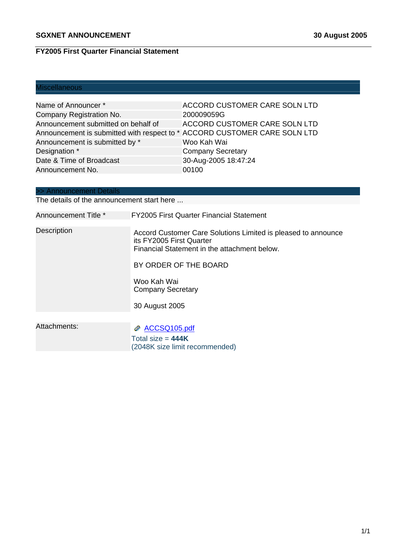# **FY2005 First Quarter Financial Statement**

# Miscellaneous

| Name of Announcer *                                                       | <b>ACCORD CUSTOMER CARE SOLN LTD</b> |
|---------------------------------------------------------------------------|--------------------------------------|
| Company Registration No.                                                  | 200009059G                           |
| Announcement submitted on behalf of                                       | <b>ACCORD CUSTOMER CARE SOLN LTD</b> |
| Announcement is submitted with respect to * ACCORD CUSTOMER CARE SOLN LTD |                                      |
| Announcement is submitted by *                                            | Woo Kah Wai                          |
| Designation *                                                             | <b>Company Secretary</b>             |
| Date & Time of Broadcast                                                  | 30-Aug-2005 18:47:24                 |
| Announcement No.                                                          | 00100                                |

# >> Announcement Details

The details of the announcement start here ...

| Announcement Title * | <b>FY2005 First Quarter Financial Statement</b>                                                                                           |
|----------------------|-------------------------------------------------------------------------------------------------------------------------------------------|
| <b>Description</b>   | Accord Customer Care Solutions Limited is pleased to announce<br>its FY2005 First Quarter<br>Financial Statement in the attachment below. |
|                      | BY ORDER OF THE BOARD                                                                                                                     |
|                      | Woo Kah Wai<br><b>Company Secretary</b>                                                                                                   |
|                      | 30 August 2005                                                                                                                            |
|                      |                                                                                                                                           |
| Attachments:         | ACCSQ105.pdf<br>Total size = $444K$<br>(2048K size limit recommended)                                                                     |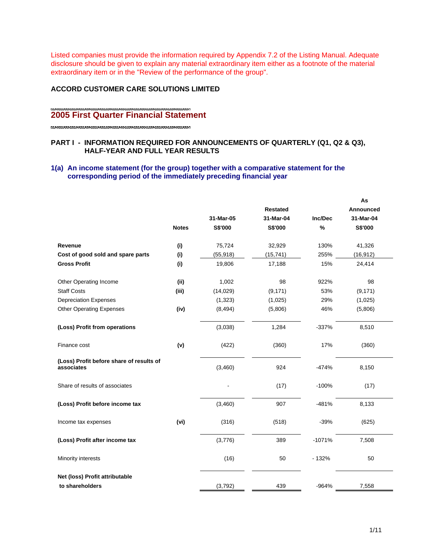Listed companies must provide the information required by Appendix 7.2 of the Listing Manual. Adequate disclosure should be given to explain any material extraordinary item either as a footnote of the material extraordinary item or in the "Review of the performance of the group".

#### **ACCORD CUSTOMER CARE SOLUTIONS LIMITED**

# **2005 First Quarter Financial Statement**

# **PART I - INFORMATION REQUIRED FOR ANNOUNCEMENTS OF QUARTERLY (Q1, Q2 & Q3), HALF-YEAR AND FULL YEAR RESULTS**

# **1(a) An income statement (for the group) together with a comparative statement for the corresponding period of the immediately preceding financial year**

|                                                        |              |           |                 |          | As        |
|--------------------------------------------------------|--------------|-----------|-----------------|----------|-----------|
|                                                        |              |           | <b>Restated</b> |          | Announced |
|                                                        |              | 31-Mar-05 | 31-Mar-04       | Inc/Dec  | 31-Mar-04 |
|                                                        | <b>Notes</b> | S\$'000   | S\$'000         | %        | S\$'000   |
| Revenue                                                | (i)          | 75,724    | 32,929          | 130%     | 41,326    |
| Cost of good sold and spare parts                      | (i)          | (55, 918) | (15, 741)       | 255%     | (16, 912) |
| <b>Gross Profit</b>                                    | (i)          | 19,806    | 17,188          | 15%      | 24,414    |
| Other Operating Income                                 | (i)          | 1,002     | 98              | 922%     | 98        |
| <b>Staff Costs</b>                                     | (iii)        | (14, 029) | (9, 171)        | 53%      | (9, 171)  |
| <b>Depreciation Expenses</b>                           |              | (1,323)   | (1,025)         | 29%      | (1,025)   |
| <b>Other Operating Expenses</b>                        | (iv)         | (8, 494)  | (5,806)         | 46%      | (5,806)   |
| (Loss) Profit from operations                          |              | (3,038)   | 1,284           | $-337%$  | 8,510     |
| Finance cost                                           | (v)          | (422)     | (360)           | 17%      | (360)     |
| (Loss) Profit before share of results of<br>associates |              | (3,460)   | 924             | $-474%$  | 8,150     |
| Share of results of associates                         |              |           | (17)            | $-100%$  | (17)      |
| (Loss) Profit before income tax                        |              | (3,460)   | 907             | $-481%$  | 8,133     |
| Income tax expenses                                    | (vi)         | (316)     | (518)           | $-39%$   | (625)     |
| (Loss) Profit after income tax                         |              | (3,776)   | 389             | $-1071%$ | 7,508     |
| Minority interests                                     |              | (16)      | 50              | $-132%$  | 50        |
| Net (loss) Profit attributable                         |              |           |                 |          |           |
| to shareholders                                        |              | (3,792)   | 439             | $-964%$  | 7,558     |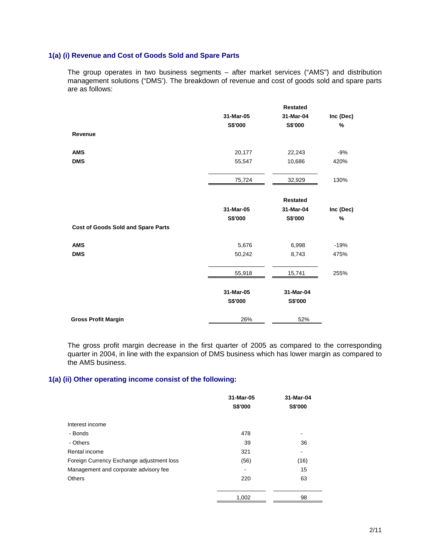# **1(a) (i) Revenue and Cost of Goods Sold and Spare Parts**

The group operates in two business segments – after market services ("AMS") and distribution management solutions ("DMS'). The breakdown of revenue and cost of goods sold and spare parts are as follows:

|                                           |           | <b>Restated</b> |           |
|-------------------------------------------|-----------|-----------------|-----------|
|                                           | 31-Mar-05 | 31-Mar-04       | Inc (Dec) |
|                                           | S\$'000   | <b>S\$'000</b>  | %         |
| Revenue                                   |           |                 |           |
| <b>AMS</b>                                | 20,177    | 22,243          | $-9%$     |
| <b>DMS</b>                                | 55,547    | 10,686          | 420%      |
|                                           | 75,724    | 32,929          | 130%      |
|                                           |           |                 |           |
|                                           |           | <b>Restated</b> |           |
|                                           | 31-Mar-05 | 31-Mar-04       | Inc (Dec) |
|                                           | S\$'000   | <b>S\$'000</b>  | %         |
| <b>Cost of Goods Sold and Spare Parts</b> |           |                 |           |
| <b>AMS</b>                                | 5,676     | 6,998           | $-19%$    |
| <b>DMS</b>                                | 50,242    | 8,743           | 475%      |
|                                           | 55,918    | 15,741          | 255%      |
|                                           | 31-Mar-05 | 31-Mar-04       |           |
|                                           | S\$'000   | S\$'000         |           |
| <b>Gross Profit Margin</b>                | 26%       | 52%             |           |

The gross profit margin decrease in the first quarter of 2005 as compared to the corresponding quarter in 2004, in line with the expansion of DMS business which has lower margin as compared to the AMS business.

#### **1(a) (ii) Other operating income consist of the following:**

|                                           | 31-Mar-05<br>S\$'000 | 31-Mar-04<br>S\$'000 |
|-------------------------------------------|----------------------|----------------------|
| Interest income                           |                      |                      |
| - Bonds                                   | 478                  | -                    |
| - Others                                  | 39                   | 36                   |
| Rental income                             | 321                  | -                    |
| Foreign Currency Exchange adjustment loss | (56)                 | (16)                 |
| Management and corporate advisory fee     |                      | 15                   |
| <b>Others</b>                             | 220                  | 63                   |
|                                           | 1,002                | 98                   |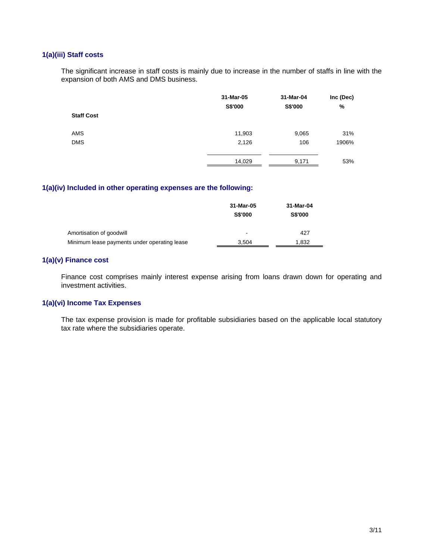# **1(a)(iii) Staff costs**

The significant increase in staff costs is mainly due to increase in the number of staffs in line with the expansion of both AMS and DMS business.

|                   | 31-Mar-05 | 31-Mar-04 | Inc (Dec) |
|-------------------|-----------|-----------|-----------|
|                   | S\$'000   | S\$'000   | %         |
| <b>Staff Cost</b> |           |           |           |
| <b>AMS</b>        | 11,903    | 9,065     | 31%       |
| <b>DMS</b>        | 2,126     | 106       | 1906%     |
|                   | 14,029    | 9,171     | 53%       |

### **1(a)(iv) Included in other operating expenses are the following:**

|                                              | 31-Mar-05                | 31-Mar-04      |
|----------------------------------------------|--------------------------|----------------|
|                                              | <b>S\$'000</b>           | <b>S\$'000</b> |
| Amortisation of goodwill                     | $\overline{\phantom{0}}$ | 427            |
| Minimum lease payments under operating lease | 3.504                    | 1.832          |

# **1(a)(v) Finance cost**

Finance cost comprises mainly interest expense arising from loans drawn down for operating and investment activities.

#### **1(a)(vi) Income Tax Expenses**

The tax expense provision is made for profitable subsidiaries based on the applicable local statutory tax rate where the subsidiaries operate.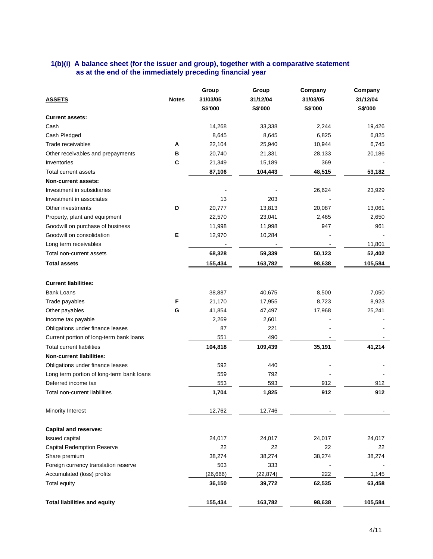# **1(b)(i) A balance sheet (for the issuer and group), together with a comparative statement as at the end of the immediately preceding financial year**

| <b>ASSETS</b>                             | <b>Notes</b> | Group<br>31/03/05<br>S\$'000 | Group<br>31/12/04<br>S\$'000 | Company<br>31/03/05<br>S\$'000 | Company<br>31/12/04<br><b>S\$'000</b> |
|-------------------------------------------|--------------|------------------------------|------------------------------|--------------------------------|---------------------------------------|
| <b>Current assets:</b>                    |              |                              |                              |                                |                                       |
| Cash                                      |              | 14,268                       | 33,338                       | 2,244                          | 19,426                                |
| Cash Pledged                              |              | 8,645                        | 8,645                        | 6,825                          | 6,825                                 |
| Trade receivables                         | A            | 22,104                       | 25,940                       | 10,944                         | 6,745                                 |
| Other receivables and prepayments         | в            | 20,740                       | 21,331                       | 28,133                         | 20,186                                |
| Inventories                               | C            | 21,349                       | 15,189                       | 369                            |                                       |
| Total current assets                      |              | 87,106                       | 104,443                      | 48,515                         | 53,182                                |
| Non-current assets:                       |              |                              |                              |                                |                                       |
| Investment in subsidiaries                |              |                              |                              | 26,624                         | 23,929                                |
| Investment in associates                  |              | 13                           | 203                          |                                |                                       |
| Other investments                         | D            | 20,777                       | 13,813                       | 20,087                         | 13,061                                |
| Property, plant and equipment             |              | 22,570                       | 23,041                       | 2,465                          | 2,650                                 |
| Goodwill on purchase of business          |              | 11,998                       | 11,998                       | 947                            | 961                                   |
| Goodwill on consolidation                 | Е            | 12,970                       | 10,284                       |                                |                                       |
| Long term receivables                     |              |                              |                              |                                | 11,801                                |
| Total non-current assets                  |              | 68,328                       | 59,339                       | 50,123                         | 52,402                                |
| <b>Total assets</b>                       |              | 155,434                      | 163,782                      | 98,638                         | 105,584                               |
|                                           |              |                              |                              |                                |                                       |
| <b>Current liabilities:</b>               |              |                              |                              |                                |                                       |
| <b>Bank Loans</b>                         |              | 38,887                       | 40,675                       | 8,500                          | 7,050                                 |
| Trade payables                            | F            | 21,170                       | 17,955                       | 8,723                          | 8,923                                 |
| Other payables                            | G            | 41,854                       | 47,497                       | 17,968                         | 25,241                                |
| Income tax payable                        |              | 2,269                        | 2,601                        |                                |                                       |
| Obligations under finance leases          |              | 87                           | 221                          |                                |                                       |
| Current portion of long-term bank loans   |              | 551                          | 490                          |                                |                                       |
| <b>Total current liabilities</b>          |              | 104,818                      | 109,439                      | 35,191                         | 41,214                                |
| <b>Non-current liabilities:</b>           |              |                              |                              |                                |                                       |
| Obligations under finance leases          |              | 592                          | 440                          |                                |                                       |
| Long term portion of long-term bank loans |              | 559                          | 792                          |                                |                                       |
| Deferred income tax                       |              | 553                          | 593                          | 912                            | 912                                   |
| Total non-current liabilities             |              | 1,704                        | 1,825                        | 912                            | 912                                   |
| Minority Interest                         |              | 12,762                       | 12,746                       |                                |                                       |
| <b>Capital and reserves:</b>              |              |                              |                              |                                |                                       |
| Issued capital                            |              | 24,017                       | 24,017                       | 24,017                         | 24,017                                |
| <b>Capital Redemption Reserve</b>         |              | 22                           | 22                           | 22                             | 22                                    |
| Share premium                             |              | 38,274                       | 38,274                       | 38,274                         | 38,274                                |
| Foreign currency translation reserve      |              | 503                          | 333                          |                                |                                       |
| Accumulated (loss) profits                |              | (26, 666)                    | (22, 874)                    | 222                            | 1,145                                 |
| <b>Total equity</b>                       |              | 36,150                       | 39,772                       | 62,535                         | 63,458                                |
|                                           |              |                              |                              |                                |                                       |
| <b>Total liabilities and equity</b>       |              | 155,434                      | 163,782                      | 98,638                         | 105,584                               |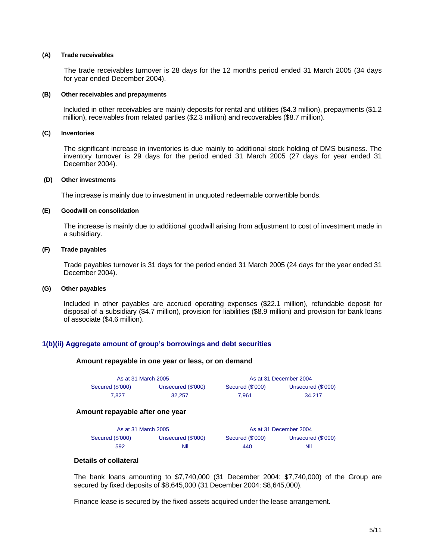#### **(A) Trade receivables**

The trade receivables turnover is 28 days for the 12 months period ended 31 March 2005 (34 days for year ended December 2004).

#### **(B) Other receivables and prepayments**

Included in other receivables are mainly deposits for rental and utilities (\$4.3 million), prepayments (\$1.2 million), receivables from related parties (\$2.3 million) and recoverables (\$8.7 million).

#### **(C) Inventories**

The significant increase in inventories is due mainly to additional stock holding of DMS business. The inventory turnover is 29 days for the period ended 31 March 2005 (27 days for year ended 31 December 2004).

#### **(D) Other investments**

The increase is mainly due to investment in unquoted redeemable convertible bonds.

#### **(E) Goodwill on consolidation**

The increase is mainly due to additional goodwill arising from adjustment to cost of investment made in a subsidiary.

#### **(F) Trade payables**

Trade payables turnover is 31 days for the period ended 31 March 2005 (24 days for the year ended 31 December 2004).

#### **(G) Other payables**

Included in other payables are accrued operating expenses (\$22.1 million), refundable deposit for disposal of a subsidiary (\$4.7 million), provision for liabilities (\$8.9 million) and provision for bank loans of associate (\$4.6 million).

#### **1(b)(ii) Aggregate amount of group's borrowings and debt securities**

#### **Amount repayable in one year or less, or on demand**

| As at 31 March 2005 |                    |                  | As at 31 December 2004 |
|---------------------|--------------------|------------------|------------------------|
| Secured (\$'000)    | Unsecured (\$'000) | Secured (\$'000) | Unsecured (\$'000)     |
| 7.827               | 32.257             | 7.961            | 34.217                 |

#### **Amount repayable after one year**

| As at 31 March 2005 |                    |                  | As at 31 December 2004 |
|---------------------|--------------------|------------------|------------------------|
| Secured (\$'000)    | Unsecured (\$'000) | Secured (\$'000) | Unsecured (\$'000)     |
| 592                 | Nil                | 440              | Nil                    |

#### **Details of collateral**

The bank loans amounting to \$7,740,000 (31 December 2004: \$7,740,000) of the Group are secured by fixed deposits of \$8,645,000 (31 December 2004: \$8,645,000).

Finance lease is secured by the fixed assets acquired under the lease arrangement.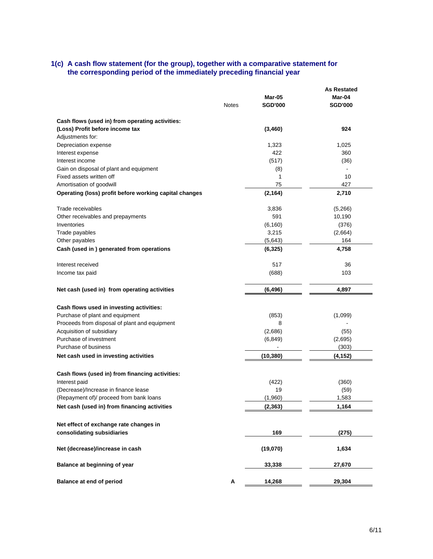#### **1(c) A cash flow statement (for the group), together with a comparative statement for the corresponding period of the immediately preceding financial year**

|                                                        |              |                | <b>As Restated</b> |
|--------------------------------------------------------|--------------|----------------|--------------------|
|                                                        |              | <b>Mar-05</b>  | Mar-04             |
|                                                        | <b>Notes</b> | <b>SGD'000</b> | <b>SGD'000</b>     |
| Cash flows (used in) from operating activities:        |              |                |                    |
| (Loss) Profit before income tax                        |              | (3,460)        | 924                |
| Adjustments for:                                       |              |                |                    |
| Depreciation expense                                   |              | 1,323          | 1,025              |
| Interest expense                                       |              | 422            | 360                |
| Interest income                                        |              | (517)          | (36)               |
| Gain on disposal of plant and equipment                |              | (8)            |                    |
| Fixed assets written off                               |              | 1              | 10                 |
| Amortisation of goodwill                               |              | 75             | 427                |
| Operating (loss) profit before working capital changes |              | (2, 164)       | 2,710              |
| Trade receivables                                      |              | 3,836          | (5,266)            |
| Other receivables and prepayments                      |              | 591            | 10,190             |
| Inventories                                            |              |                |                    |
|                                                        |              | (6, 160)       | (376)              |
| Trade payables                                         |              | 3,215          | (2,664)            |
| Other payables                                         |              | (5,643)        | 164                |
| Cash (used in) generated from operations               |              | (6, 325)       | 4,758              |
| Interest received                                      |              | 517            | 36                 |
| Income tax paid                                        |              | (688)          | 103                |
|                                                        |              |                |                    |
| Net cash (used in) from operating activities           |              | (6, 496)       | 4,897              |
|                                                        |              |                |                    |
| Cash flows used in investing activities:               |              |                |                    |
| Purchase of plant and equipment                        |              | (853)          | (1,099)            |
| Proceeds from disposal of plant and equipment          |              | 8              |                    |
| Acquisition of subsidiary                              |              | (2,686)        | (55)               |
| Purchase of investment                                 |              | (6, 849)       | (2,695)            |
| Purchase of business                                   |              |                | (303)              |
| Net cash used in investing activities                  |              | (10, 380)      | (4, 152)           |
| Cash flows (used in) from financing activities:        |              |                |                    |
| Interest paid                                          |              | (422)          | (360)              |
| (Decrease)/Increase in finance lease                   |              | 19             | (59)               |
| (Repayment of)/ proceed from bank loans                |              | (1,960)        | 1,583              |
| Net cash (used in) from financing activities           |              | (2, 363)       | 1,164              |
|                                                        |              |                |                    |
| Net effect of exchange rate changes in                 |              |                |                    |
| consolidating subsidiaries                             |              | 169            | (275)              |
| Net (decrease)/increase in cash                        |              | (19,070)       | 1,634              |
| Balance at beginning of year                           |              | 33,338         | 27,670             |
| <b>Balance at end of period</b>                        | Α            | 14,268         | 29,304             |
|                                                        |              |                |                    |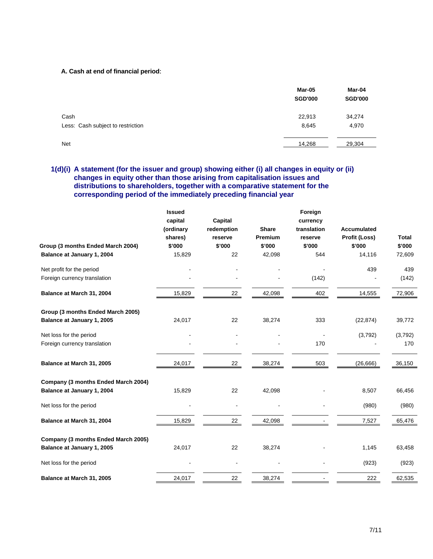#### **A. Cash at end of financial period**:

|                                   | Mar-05<br><b>SGD'000</b> | Mar-04<br><b>SGD'000</b> |
|-----------------------------------|--------------------------|--------------------------|
| Cash                              | 22,913                   | 34,274                   |
| Less: Cash subject to restriction | 8,645                    | 4,970                    |
| <b>Net</b>                        | 14,268                   | 29,304                   |

# **1(d)(i) A statement (for the issuer and group) showing either (i) all changes in equity or (ii) changes in equity other than those arising from capitalisation issues and distributions to shareholders, together with a comparative statement for the corresponding period of the immediately preceding financial year**

|                                     | <b>Issued</b> |            |              | Foreign     |                    |         |
|-------------------------------------|---------------|------------|--------------|-------------|--------------------|---------|
|                                     | capital       | Capital    |              | currency    |                    |         |
|                                     | (ordinary     | redemption | <b>Share</b> | translation | <b>Accumulated</b> |         |
|                                     | shares)       | reserve    | Premium      | reserve     | Profit (Loss)      | Total   |
| Group (3 months Ended March 2004)   | \$'000        | \$'000     | \$'000       | \$'000      | \$'000             | \$'000  |
| Balance at January 1, 2004          | 15,829        | 22         | 42,098       | 544         | 14,116             | 72,609  |
| Net profit for the period           |               |            |              |             | 439                | 439     |
| Foreign currency translation        |               |            |              | (142)       |                    | (142)   |
| Balance at March 31, 2004           | 15,829        | 22         | 42,098       | 402         | 14,555             | 72,906  |
| Group (3 months Ended March 2005)   |               |            |              |             |                    |         |
| Balance at January 1, 2005          | 24,017        | 22         | 38,274       | 333         | (22, 874)          | 39,772  |
| Net loss for the period             |               |            |              |             | (3,792)            | (3,792) |
| Foreign currency translation        |               |            |              | 170         |                    | 170     |
| Balance at March 31, 2005           | 24,017        | 22         | 38,274       | 503         | (26, 666)          | 36,150  |
| Company (3 months Ended March 2004) |               |            |              |             |                    |         |
| Balance at January 1, 2004          | 15,829        | 22         | 42,098       |             | 8,507              | 66,456  |
| Net loss for the period             |               |            |              |             | (980)              | (980)   |
| Balance at March 31, 2004           | 15,829        | 22         | 42,098       |             | 7,527              | 65,476  |
| Company (3 months Ended March 2005) |               |            |              |             |                    |         |
| Balance at January 1, 2005          | 24,017        | 22         | 38,274       |             | 1,145              | 63,458  |
| Net loss for the period             |               |            |              |             | (923)              | (923)   |
| Balance at March 31, 2005           | 24,017        | 22         | 38,274       |             | 222                | 62,535  |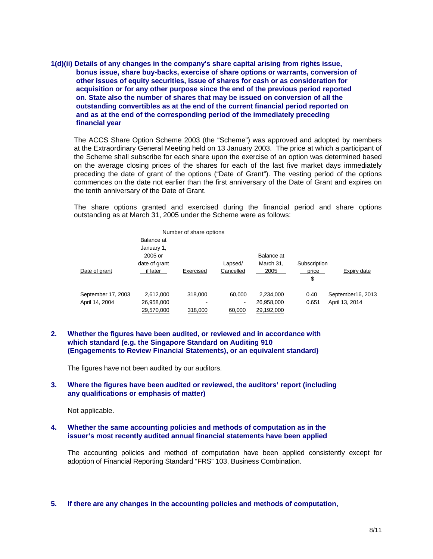**1(d)(ii) Details of any changes in the company's share capital arising from rights issue, bonus issue, share buy-backs, exercise of share options or warrants, conversion of other issues of equity securities, issue of shares for cash or as consideration for acquisition or for any other purpose since the end of the previous period reported on. State also the number of shares that may be issued on conversion of all the outstanding convertibles as at the end of the current financial period reported on and as at the end of the corresponding period of the immediately preceding financial year** 

The ACCS Share Option Scheme 2003 (the "Scheme") was approved and adopted by members at the Extraordinary General Meeting held on 13 January 2003. The price at which a participant of the Scheme shall subscribe for each share upon the exercise of an option was determined based on the average closing prices of the shares for each of the last five market days immediately preceding the date of grant of the options ("Date of Grant"). The vesting period of the options commences on the date not earlier than the first anniversary of the Date of Grant and expires on the tenth anniversary of the Date of Grant.

The share options granted and exercised during the financial period and share options outstanding as at March 31, 2005 under the Scheme were as follows:

|                    |               | Number of share options |           |            |              |                   |
|--------------------|---------------|-------------------------|-----------|------------|--------------|-------------------|
|                    | Balance at    |                         |           |            |              |                   |
|                    | January 1,    |                         |           |            |              |                   |
|                    | 2005 or       |                         |           | Balance at |              |                   |
|                    | date of grant |                         | Lapsed/   | March 31,  | Subscription |                   |
| Date of grant      | if later      | Exercised               | Cancelled | 2005       | price        | Expiry date       |
|                    |               |                         |           |            | \$           |                   |
| September 17, 2003 | 2.612.000     | 318,000                 | 60.000    | 2,234,000  | 0.40         | September16, 2013 |
| April 14, 2004     | 26,958,000    |                         |           | 26,958,000 | 0.651        | April 13, 2014    |
|                    | 29.570.000    | 318,000                 | 60,000    | 29,192,000 |              |                   |

## **2. Whether the figures have been audited, or reviewed and in accordance with which standard (e.g. the Singapore Standard on Auditing 910 (Engagements to Review Financial Statements), or an equivalent standard)**

The figures have not been audited by our auditors.

#### **3. Where the figures have been audited or reviewed, the auditors' report (including any qualifications or emphasis of matter)**

Not applicable.

#### **4. Whether the same accounting policies and methods of computation as in the issuer's most recently audited annual financial statements have been applied**

The accounting policies and method of computation have been applied consistently except for adoption of Financial Reporting Standard "FRS" 103, Business Combination.

**5. If there are any changes in the accounting policies and methods of computation,**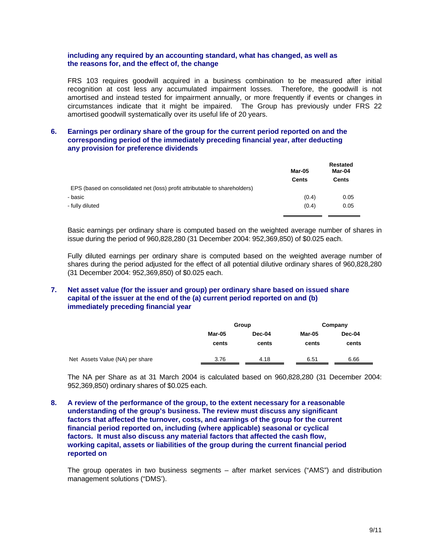#### **including any required by an accounting standard, what has changed, as well as the reasons for, and the effect of, the change**

FRS 103 requires goodwill acquired in a business combination to be measured after initial recognition at cost less any accumulated impairment losses. Therefore, the goodwill is not amortised and instead tested for impairment annually, or more frequently if events or changes in circumstances indicate that it might be impaired. The Group has previously under FRS 22 amortised goodwill systematically over its useful life of 20 years.

#### **6. Earnings per ordinary share of the group for the current period reported on and the corresponding period of the immediately preceding financial year, after deducting any provision for preference dividends**

|                                                                            | Mar-05<br>Cents | Restated<br>Mar-04<br>Cents |
|----------------------------------------------------------------------------|-----------------|-----------------------------|
| EPS (based on consolidated net (loss) profit attributable to shareholders) |                 |                             |
| - basic                                                                    | (0.4)           | 0.05                        |
| - fully diluted                                                            | (0.4)           | 0.05                        |
|                                                                            |                 |                             |

Basic earnings per ordinary share is computed based on the weighted average number of shares in issue during the period of 960,828,280 (31 December 2004: 952,369,850) of \$0.025 each.

Fully diluted earnings per ordinary share is computed based on the weighted average number of shares during the period adjusted for the effect of all potential dilutive ordinary shares of 960,828,280 (31 December 2004: 952,369,850) of \$0.025 each.

# **7. Net asset value (for the issuer and group) per ordinary share based on issued share capital of the issuer at the end of the (a) current period reported on and (b) immediately preceding financial year**

|                                 |        | Group  | Company |        |  |
|---------------------------------|--------|--------|---------|--------|--|
|                                 | Mar-05 | Dec-04 | Mar-05  | Dec-04 |  |
|                                 | cents  | cents  | cents   | cents  |  |
| Net Assets Value (NA) per share | 3.76   | 4.18   | 6.51    | 6.66   |  |

The NA per Share as at 31 March 2004 is calculated based on 960,828,280 (31 December 2004: 952,369,850) ordinary shares of \$0.025 each.

**8. A review of the performance of the group, to the extent necessary for a reasonable understanding of the group's business. The review must discuss any significant factors that affected the turnover, costs, and earnings of the group for the current financial period reported on, including (where applicable) seasonal or cyclical factors. It must also discuss any material factors that affected the cash flow, working capital, assets or liabilities of the group during the current financial period reported on** 

The group operates in two business segments – after market services ("AMS") and distribution management solutions ("DMS').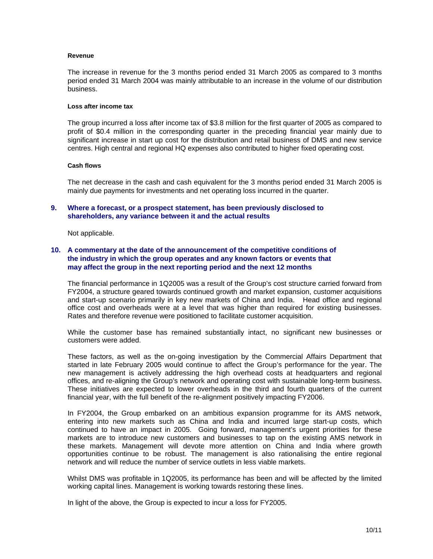#### **Revenue**

The increase in revenue for the 3 months period ended 31 March 2005 as compared to 3 months period ended 31 March 2004 was mainly attributable to an increase in the volume of our distribution business.

#### **Loss after income tax**

The group incurred a loss after income tax of \$3.8 million for the first quarter of 2005 as compared to profit of \$0.4 million in the corresponding quarter in the preceding financial year mainly due to significant increase in start up cost for the distribution and retail business of DMS and new service centres. High central and regional HQ expenses also contributed to higher fixed operating cost.

#### **Cash flows**

The net decrease in the cash and cash equivalent for the 3 months period ended 31 March 2005 is mainly due payments for investments and net operating loss incurred in the quarter.

#### **9. Where a forecast, or a prospect statement, has been previously disclosed to shareholders, any variance between it and the actual results**

Not applicable.

### **10. A commentary at the date of the announcement of the competitive conditions of the industry in which the group operates and any known factors or events that may affect the group in the next reporting period and the next 12 months**

The financial performance in 1Q2005 was a result of the Group's cost structure carried forward from FY2004, a structure geared towards continued growth and market expansion, customer acquisitions and start-up scenario primarily in key new markets of China and India. Head office and regional office cost and overheads were at a level that was higher than required for existing businesses. Rates and therefore revenue were positioned to facilitate customer acquisition.

While the customer base has remained substantially intact, no significant new businesses or customers were added.

These factors, as well as the on-going investigation by the Commercial Affairs Department that started in late February 2005 would continue to affect the Group's performance for the year. The new management is actively addressing the high overhead costs at headquarters and regional offices, and re-aligning the Group's network and operating cost with sustainable long-term business. These initiatives are expected to lower overheads in the third and fourth quarters of the current financial year, with the full benefit of the re-alignment positively impacting FY2006.

In FY2004, the Group embarked on an ambitious expansion programme for its AMS network, entering into new markets such as China and India and incurred large start-up costs, which continued to have an impact in 2005. Going forward, management's urgent priorities for these markets are to introduce new customers and businesses to tap on the existing AMS network in these markets. Management will devote more attention on China and India where growth opportunities continue to be robust. The management is also rationalising the entire regional network and will reduce the number of service outlets in less viable markets.

Whilst DMS was profitable in 1Q2005, its performance has been and will be affected by the limited working capital lines. Management is working towards restoring these lines.

In light of the above, the Group is expected to incur a loss for FY2005.